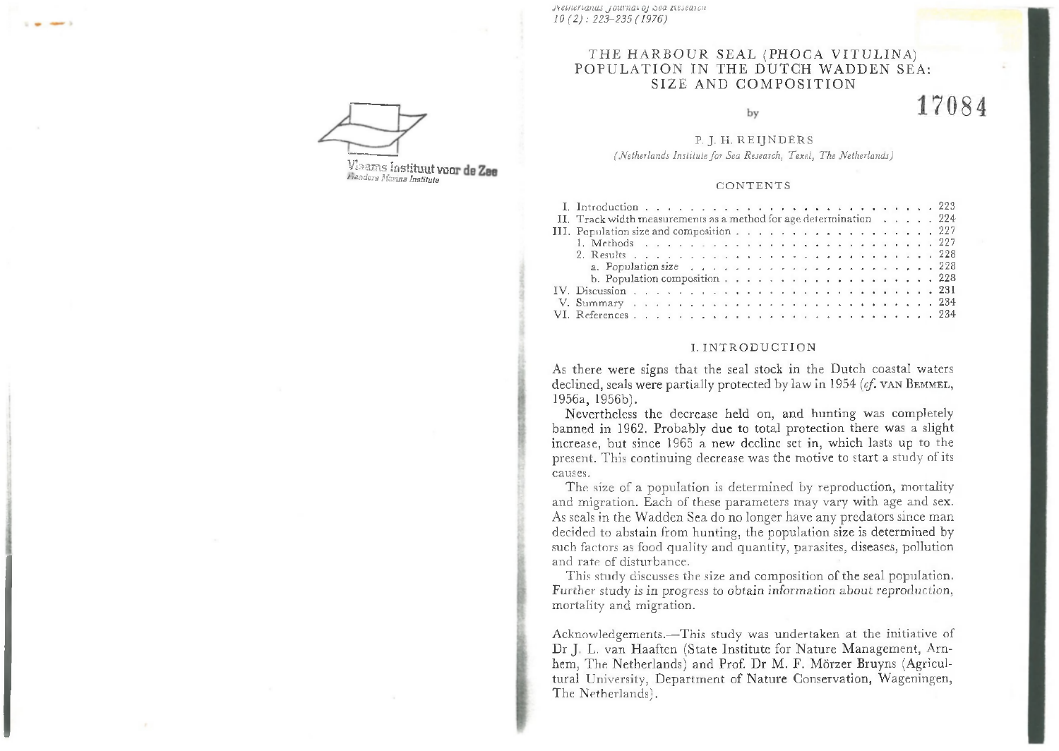*j \ entenallas jo u rn a l oj nea nest'aren 10(2): 2 2 3 -2 3 5 (1 9 7 6 )*

# THE HARBOUR SEAL (PHOCA VITULINA) POPULATION IN THE DUTCH WADDEN SEA: SIZE AND COMPOSITION

#### by

17084

# P. J. H. REIINDERS

*(Netherlands Institute for Sea Research, Texel, The Netherlands)* 

## C O N T E N T S

| II. Track width measurements as a method for age determination $\ldots$ , $\ldots$ 224 |  |  |  |  |  |  |  |  |  |  |  |  |  |  |
|----------------------------------------------------------------------------------------|--|--|--|--|--|--|--|--|--|--|--|--|--|--|
| III. Population size and composition 227                                               |  |  |  |  |  |  |  |  |  |  |  |  |  |  |
|                                                                                        |  |  |  |  |  |  |  |  |  |  |  |  |  |  |
|                                                                                        |  |  |  |  |  |  |  |  |  |  |  |  |  |  |
|                                                                                        |  |  |  |  |  |  |  |  |  |  |  |  |  |  |
| b. Population composition $\ldots$ 228                                                 |  |  |  |  |  |  |  |  |  |  |  |  |  |  |
|                                                                                        |  |  |  |  |  |  |  |  |  |  |  |  |  |  |
|                                                                                        |  |  |  |  |  |  |  |  |  |  |  |  |  |  |
|                                                                                        |  |  |  |  |  |  |  |  |  |  |  |  |  |  |

#### I. INTRODUCTION

As there were signs that the seal stock in the Dutch coastal waters declined, seals were partially protected by law in 1954 (cf. VAN BEMMEL, 1956a, 1956b).

Nevertheless the decrease held on, and hunting was completely banned in 1962. Probably due to total protection there was a slight increase, but since 1965 a new decline set in, w hich lasts up to the present. This continuing decrease was the motive to start a study of its causes.

The size of a population is determined by reproduction, mortality and migration. Each of these parameters may vary with age and sex. As seals in the Wadden Sea do no longer have any predators since man decided to abstain from hunting, the population size is determined by such factors as food quality and quantity, parasites, diseases, pollution and rate of disturbance.

This study discusses the size and composition of the seal population. Further study is in progress to obtain information about reproduction, mortality and migration.

Acknowledgements.—This study was undertaken at the initiative of Dr J. L. van Haaften (State Institute for Nature Management, Arnhem, The Netherlands) and Prof. Dr M. F. Mörzer Bruyns (Agricultural University, Department of Nature Conservation, Wageningen, The Netherlands).

Viaams Instituut voor de Zee *t-iûadeiy Maima Institute*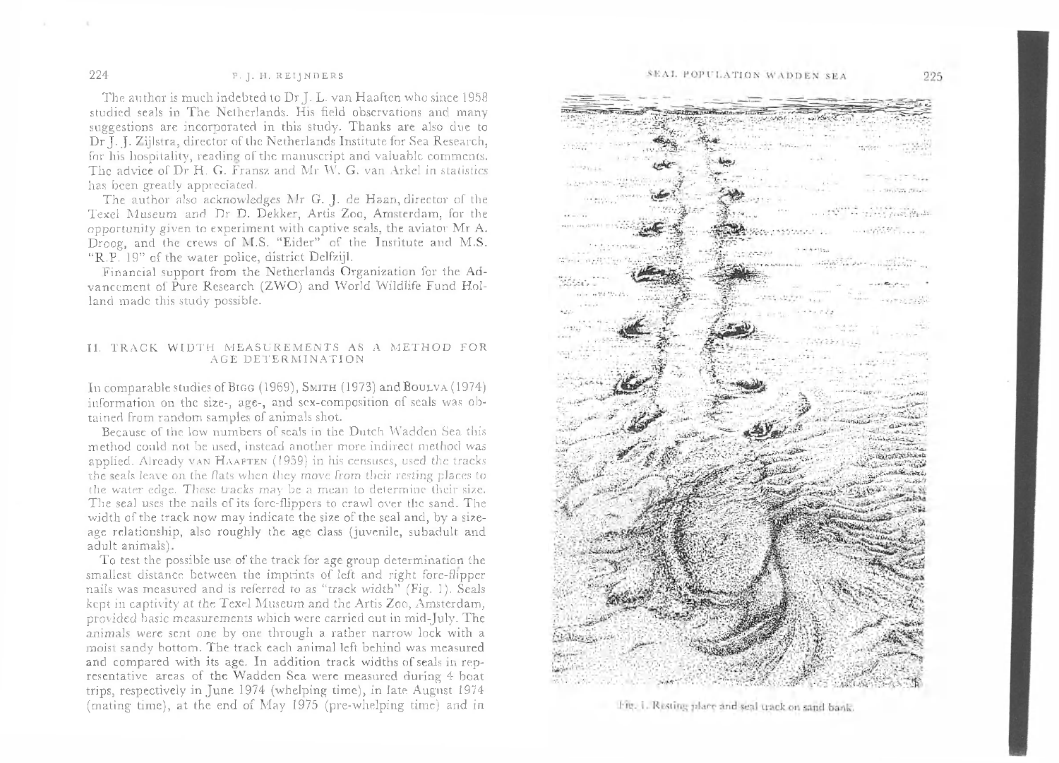# 224 P. J. H. REIJNDERS

The author is much indebted to Dr J. L. van Haaften who since 1958 studied seals in The Netherlands. His field observations and many suggestions are incorporated in this study. Thanks are also due to Dr J. J. Zijlstra, director of the Netherlands Institute for Sea Research, for his hospitality, reading of the manuscript and valuable comments. The advice of Dr H. G. Fransz and Mr W. G. van Arkel in statistics has been greatly appreciated.

The author also acknowledges Mr G. J. de Haan, director of the Texel Museum and Dr D. Dekker, Artis Zoo, Amsterdam, for the opportunity given to experiment with captive seals, the aviator Mr A. Droog, and the crews of M.S. "Eider" of the Institute and M.S. "R.P. 19" of the water police, district Delfzijl.

Financial support from the Netherlands Organization for the Advancement of Pure Research (ZWO) and World Wildlife Fund Holland made this study possible.

## II. TRACK WIDTH MEASUREMENTS AS A METHOD FOR AGE DETERMINATION

In comparable studies of B1GG (1969), SM1TH (1973) and Boulva (1974) information on the size-, age-, and sex-composition of seals was obtained from random samples of animals shot.

Because of the low numbers of seals in the Dutch Wadden Sea this method could not be used, instead another more indirect method was applied. Already van HAAFTEN (1959) in his censuses, used the tracks the seals leave on the flats w hen they move from their resting places to the water edge. These tracks may be a mean to determine their size. The seal uses the nails of its fore-flippers to crawl over the sand. The width of the track now may indicate the size of the seal and, by a sizeage relationship, also roughly the age class (juvenile, subadult and adult animals).

To test the possible use of the track for age group determination the smallest distance between the imprints of left and right fore-flipper nails was measured and is referred to as "track width" (Fig. 1). Seals kept in captivity at the Texel Museum and the Artis Zoo, Amsterdam, provided hasic measurements which were carried out in mid-July. The animals were sent one by one through a rather narrow lock with a moist sandy bottom. The track each animal left behind was measured and compared with its age. In addition track widths of seals in representative areas of the Wadden Sea were measured during 4 boat trips, respectively in June 1974 (whelping time), in late August 1974 (mating time), at the end of May 1975 (pre-whelping time) and in



Fig. 1. Resting place and seal track on sand bank.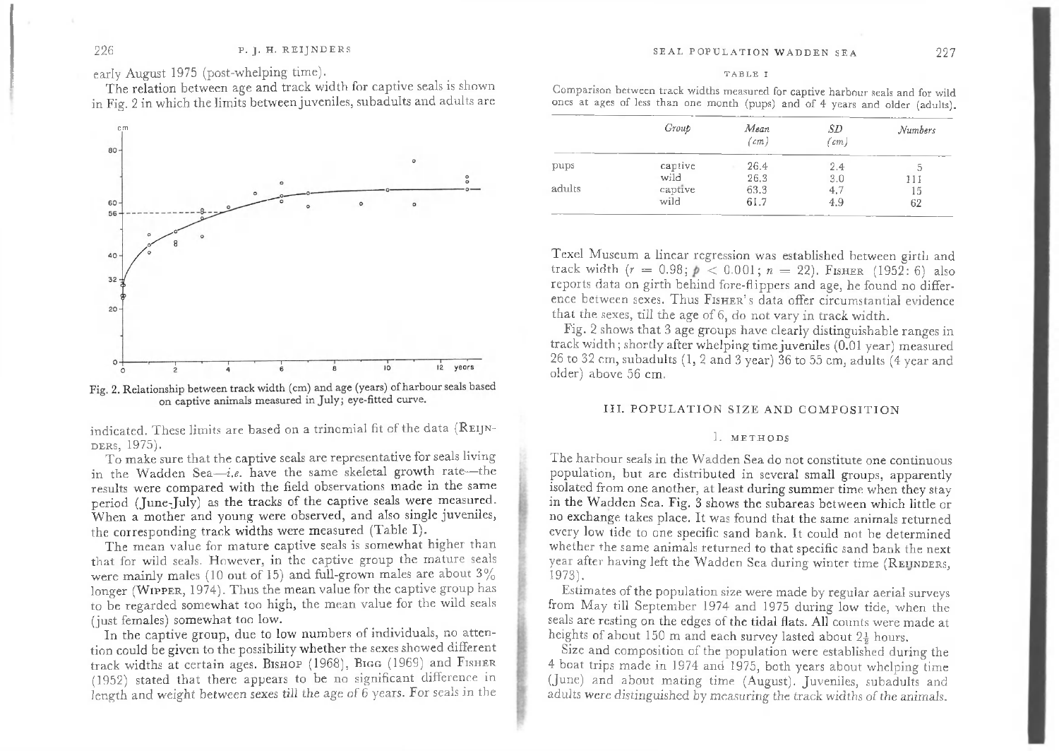early August 1975 (post-whelping time).

The relation between age and track width for captive seals is shown in Fig. 2 in which the limits between juveniles, subadults and adults are



Fig. 2. Relationship between track width (cm) and age (years) of harbour seals based on captive animals measured in July; eye-fitted curve.

indicated. These limits are based on a trinomial fit of the data (REIJN-DERS, 1975).

To make sure that the captive seals are representative for seals living in the Wadden Sea-*i.e.* have the same skeletal growth rate-the results were compared with the field observations made in the same period (June-July) as the tracks of the captive seals were measured. When a mother and young were observed, and also single juveniles, the corresponding track widths were measured (Table I).

The mean value for mature captive seals is somewhat higher than that for wild seals. However, in the captive group the mature seals were mainly males (10 out of 15) and full-grown males are about  $3\%$ longer (WIPPER, 1974). Thus the mean value for the captive group has to be regarded somewhat too high, the mean value for the wild seals (just females) somewhat too low.

In the captive group, due to low numbers of individuals, no attention could be given to the possibility whether the sexes showed different track widths at certain ages. BISHOP (1968), BIGG (1969) and FISHER (1952) stated that there appears to be no significant difference in length and weight between sexes till the age of 6 years. For seals in the

Comparison between track widths measured for captive harbour seals and for wild ones at ages of less than one month (pups) and of 4 years and older (adults).

|        | Group   | Mean<br>$\text{\textdegree}(cm)$ | SD<br>$\left( cm\right)$ | Numbers |
|--------|---------|----------------------------------|--------------------------|---------|
| pups   | captive | 26.4                             | 2.4                      | J.      |
|        | wild    | 26.3                             | 3.0                      |         |
| adults | captive | 63.3                             | 4,7                      | 15      |
|        | wild    | 61.7                             | 4.9                      | 62      |

Texel Museum a linear regression was established between girth and track width  $(r = 0.98; p < 0.001; n = 22)$ . FISHER (1952: 6) also reports data on girth behind fore-flippers and age, he found no difference between sexes. Thus FISHER's data offer circumstantial evidence that the sexes, till the age of 6, do not vary in track width.

Fig. 2 shows that 3 age groups have clearly distinguishable ranges in track width; shortly after whelping time juveniles (0.01 year) measured 26 to 32 cm, subadults (1,2 and 3 year) 36 to 55 cm, adults (4 year and older) above 56 cm.

#### III. POPULATION SIZE AND COMPOSITION

## 1. METHODS

The harbour seals in the Wadden Sea do not constitute one continuous population, but are distributed in several small groups, apparently isolated from one another, at least during summer time when they stay in the Wadden Sea. Fig. 3 shows the subareas between which little or no exchange takes place. It was found that the same animals returned every low tide to one specific sand bank. It could not be determined whether the same animals returned to that specific sand bank the next year after having left the Wadden Sea during winter time (REUNDERS, 1973).

Estimates of the population size were m ade by regular aerial surveys from May till September 1974 and 1975 during low tide, when the seals are resting on the edges of the tidal flats. All counts were made at heights of about 150 m and each survey lasted about 2<sup>1</sup>/<sub>2</sub> hours.

Size and composition of the population were established during the 4 boat trips made in 1974 and 1975, both years about whelping time (June) and about mating time (August). Juveniles, subadults and adults were distinguished by measuring the track widths of the animals.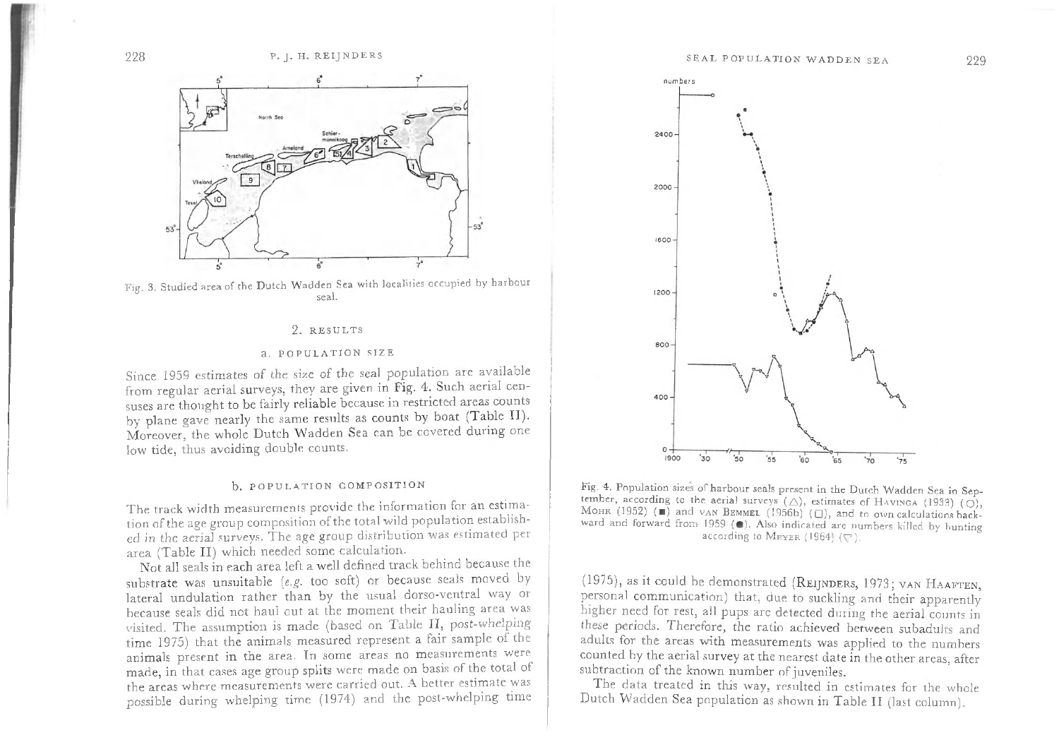

Fig. 3. Studied area of the Dutch Wadden Sea with localities occupied by harbour seal.

#### 2. RESULTS

#### a. POPULATION SIZE

Since 1959 estimates of the size of the seal population are available from regular aerial surveys, they are given in Fig. 4. Such aerial censuses are thought to be fairly reliable because in restricted areas counts by plane gave nearly the same results as counts by boat (Table II). Moreover, the whole Dutch Wadden Sea can be covered during one low tide, thus avoiding double counts.

#### b. POPULATION COMPOSITION

The track width measurements provide the information for an estimation of the age group composition of the total wild population established in the aerial surveys. The age group distribution was estimated per area (Table II) which needed some calculation.

Not all seals in each area left a well defined track behind because the substrate was unsuitable (e.g. too soft) or because seals moved by lateral undulation rather than by the usual dorso-ventral way or because seals did not haul out at the moment their hauling area was visited. The assumption is made (based on Table II, post-whelping time 1975) that the animals measured represent a fair sample of the animals present in the area. In some areas no measurements were made, in that cases age group splits were made on basis of the total of the areas where measurements were carried out. A better estimate was possible during whelping time (1974) and the post-whelping time



Fig. 4. Population sizes of harbour seals present in the Dutch Wadden Sea in September, according to the aerial surveys  $(\triangle)$ , estimates of HAVINGA (1933) (O), MOHR (1952) ( $\blacksquare$ ) and vAN BEMMEL (1956b) ( $\Box$ ), and to own calculations backward and forward from 1959 (.). Also indicated are numbers killed by hunting according to MEYER (1964)  $(\nabla)$ .

(1975), as it could be demonstrated (REIJNDERS, 1973; VAN HAAFTEN, personal communication) that, due to suckling and their apparently higher need for rest, all pups are detected during the aerial counts in these periods. Therefore, the ratio achieved between subadults and adults for the areas with measurements was applied to the numbers counted by the aerial survey at the nearest date in the other areas, after subtraction of the known number of juveniles.

The data treated in this way, resulted in estimates for the whole Dutch Wadden Sea population as shown in Table II (last column).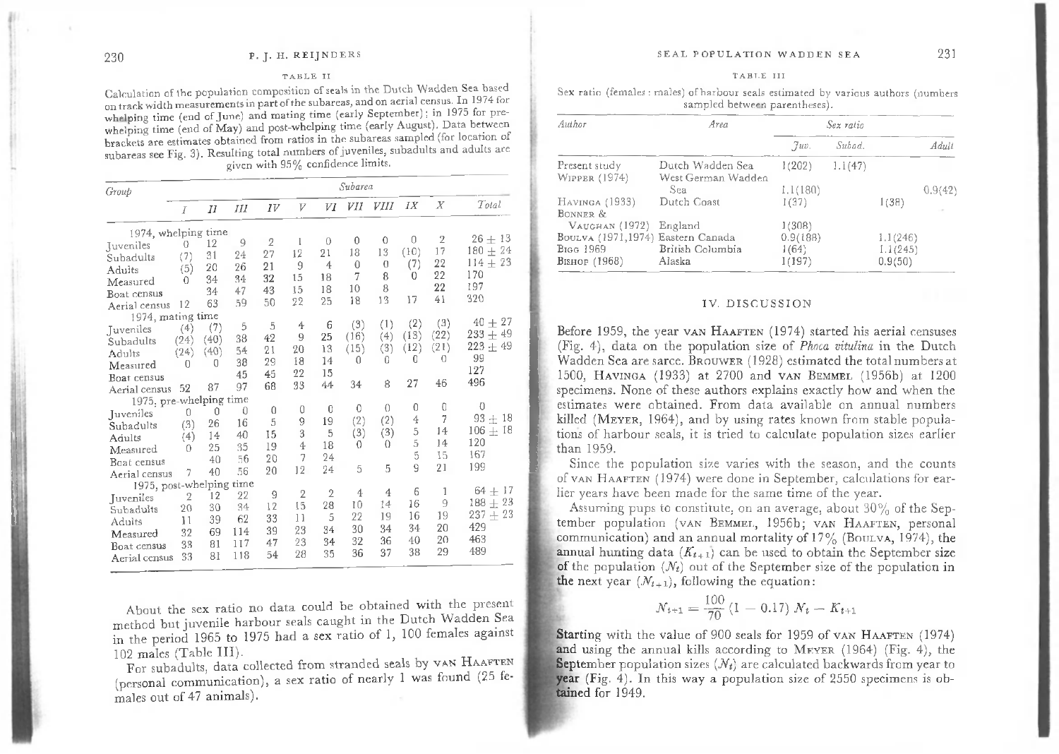## 230 P. J. H. REIJNDERS

#### TABLE II

Calculation of the population composition of seals in the Dutch Wadden Sea based on track width measurements in part of the subareas, and on aerial census. In 1974 for whelping time (end of June) and mating time (early September); in 1975 for prewhelping time (end of May) and post-whelping time (early August). Data between brackets are estimates obtained from ratios in the subareas sampled (for location of subareas see Fig. 3). Resulting total numbers of juveniles, subadults and adults are given with 95% confidence limits.

| Group                    | Subarea |           |             |                |                |                |          |                |      |                  |              |  |  |  |
|--------------------------|---------|-----------|-------------|----------------|----------------|----------------|----------|----------------|------|------------------|--------------|--|--|--|
|                          | I       | $_{I\!I}$ | Ш           | IV             | V              | VI             | VII      | VIII           | IX   | $\boldsymbol{X}$ | Total        |  |  |  |
| 1974, whelping time      |         |           |             |                |                |                |          |                |      |                  |              |  |  |  |
| Juveniles                | 0       | 12        | 9           | $\overline{2}$ | 1              | $\theta$       | 0        | $\bf{0}$       | 0    | $\overline{2}$   | $26 + 13$    |  |  |  |
| Subadults                | (7)     | 31        | 24          | 27             | 12             | 21             | 18       | 13             | (10) | 17               | $180 + 24$   |  |  |  |
| Adults                   | (5)     | 20        | 26          | 21             | 9              | $\overline{4}$ | 0        | $\overline{0}$ | (7)  | 22               | $114 + 23$   |  |  |  |
| Measured                 | 0       | 34        | 34          | 32             | 15             | 18             | 7        | 8              | 0    | 22               | 170          |  |  |  |
| Boat census              |         | 34        | 47          | 43             | 15             | 18             | 10       | 8              |      | 22               | 197          |  |  |  |
| Aerial census            | 12      | 63        | 59          | 50             | 22             | 25             | 18       | 13             | 17   | 41               | 320          |  |  |  |
| 1974, mating time        |         |           |             |                |                |                |          |                |      |                  |              |  |  |  |
| Juveniles                | (4)     | (7)       | 5           | 5              | 4              | 6              | (3)      | (1)            | (2)  | (3)              | $40 + 27$    |  |  |  |
| Subadults                | (24)    | (40)      | 38          | 42             | 9              | 25             | (16)     | (4)            | (13) | (22)             | $233 + 49$   |  |  |  |
| Adults                   | (24)    | (40)      | 54          | 21             | 20             | 13             | (15)     | (3)            | (12) | (21)             | 223 $\pm$ 49 |  |  |  |
| Measured                 | 0       | 0         | 38          | 29             | 18             | 14             | 0        | 0              | 0    | 0                | 99           |  |  |  |
| Boat census              |         |           | 45          | 45             | 22             | 15             |          |                |      |                  | 127          |  |  |  |
| Aerial census            | 52      | 87        | 97          | 68             | 33             | 44             | 34       | 8              | 27   | 46               | 496          |  |  |  |
| 1975, pre-whelping time  |         |           |             |                |                |                |          |                |      |                  |              |  |  |  |
| Juveniles                | 0       | 0         | $\mathbf 0$ | 0              | 0              | 0              | 0        | 0              | 0    | 0                | $\theta$     |  |  |  |
| Subadults                | (3)     | 26        | 16          | 5              | 9              | 19             | (2)      | (2)            | 4    | 7                | $93 +$<br>18 |  |  |  |
| Adults                   | (4)     | 14        | 40          | 15             | 3              | 5              | (3)      | (3)            | 5    | 14               | $106 \pm 18$ |  |  |  |
| Measured                 | O       | 25        | 35          | 19             | 4              | 18             | $\theta$ | $\Omega$       | 5    | 14               | 120          |  |  |  |
| Boat census              |         | 40        | 56          | 20             | 7              | 24             |          |                | 5    | 15               | 167          |  |  |  |
| Aerial census            | 7       | 40        | 56          | 20             | 12             | 24             | 5        | 5              | 9    | 21               | 199          |  |  |  |
| 1975, post-whelping time |         |           |             |                |                |                |          |                |      |                  |              |  |  |  |
| Juveniles                | 2       | 12        | 22          | 9              | $\overline{2}$ | 2              | 4        | 4              | 6    | 1                | $64 + 17$    |  |  |  |
| Subadults                | 20      | 30        | 34          | 12             | 15             | 28             | 10       | 14             | 16   | 9                | $188 + 23$   |  |  |  |
| Adults                   | 11      | 39        | 62          | 33             | 11             | 5              | 22       | 19             | 16   | 19               | 237 $\pm$ 23 |  |  |  |
| Measured                 | 32      | 69        | 114         | 39             | 23             | 34             | 30       | 34             | 34   | 20               | 429          |  |  |  |
| Boat census              | 33      | 81        | 117         | 47             | 23             | 34             | 32       | 36             | 40   | 20               | 463          |  |  |  |
| Aerial census            | 33      | 81        | 118         | 54             | 28             | 35             | 36       | 37             | 38   | 29               | 489          |  |  |  |

About the sex ratio no data could be obtained with the present method but juvenile harbour seals caught in the Dutch Wadden Sea in the period 1965 to 1975 had a sex ratio of 1, 100 females against 102 males (Table III).

For subadults, data collected from stranded seals by VAN HAAFTEN (personal communication), a sex ratio of nearly 1 was found (25 females out of 47 animals).

#### TARLE III

Sex ratio (females : males) of harbour seals estimated by various authors (numbers sampled between parentheses).

| Author                            | Area               |          | Sex ratio |          |         |
|-----------------------------------|--------------------|----------|-----------|----------|---------|
|                                   |                    | Juv.     | Subod.    |          | Adult   |
| Present study                     | Dutch Wadden Sea   | 1(202)   | 1.1(47)   |          |         |
| WIPPER (1974)                     | West German Wadden |          |           |          |         |
|                                   | Sea.               | 1,1(180) |           |          | 0.9(42) |
| Havinga (1933)                    | Dutch Coast        | 1(37)    |           | 1(38)    |         |
| BONNER &                          |                    |          |           |          |         |
| Vaughan (1972)                    | England            | 1(308)   |           |          |         |
| Boulva (1971,1974) Eastern Canada |                    | 0.9(188) |           | 1.1(246) |         |
| Bigg 1969                         | British Columbia   | 1(64)    |           | 1.1(245) |         |
| Bishop (1968)                     | Alaska             | 1(197)   |           | 0.9(50)  |         |

#### IV. DISCUSSION

Before 1959, the year van HAAFTEN  $(1974)$  started his aerial censuses (Fig. 4), data on the population size of *Phoca vitulina* in the Dutch Wadden Sea are sarce. BROUWER (1928) estimated the total numbers at 1500, HAVINGA (1933) at 2700 and VAN BEMMEL (1956b) at 1200 specimens. None of these authors explains exactly how and when the estimates were obtained. From data available on annual numbers killed (MEYER, 1964), and by using rates known from stable populations of harbour seals, it is tried to calculate population sizes earlier than 1959.

Since the population size varies with the season, and the counts of van HAAFTEN (1974) were done in September, calculations for earlier years have been made for the same time of the year.

Assuming pups to constitute, on an average, about 30% of the September population (vAN BEMMEL, 1956b; vAN HAAFTEN, personal communication) and an annual mortality of  $17\%$  (BOULVA, 1974), the annual hunting data  $(K_{t+1})$  can be used to obtain the September size of the population  $(N_t)$  out of the September size of the population in the next year  $(N_{t+1})$ , following the equation:

$$
N_{t+1} = \frac{100}{70} (1 - 0.17) N_t - K_{t+1}
$$

Starting with the value of 900 seals for 1959 of van HAAFTEN (1974) and using the annual kills according to MEVER  $(1964)$  (Fig. 4), the September population sizes  $(N_t)$  are calculated backwards from year to year (Fig. 4). In this way a population size of 2550 specimens is obtained for 1949.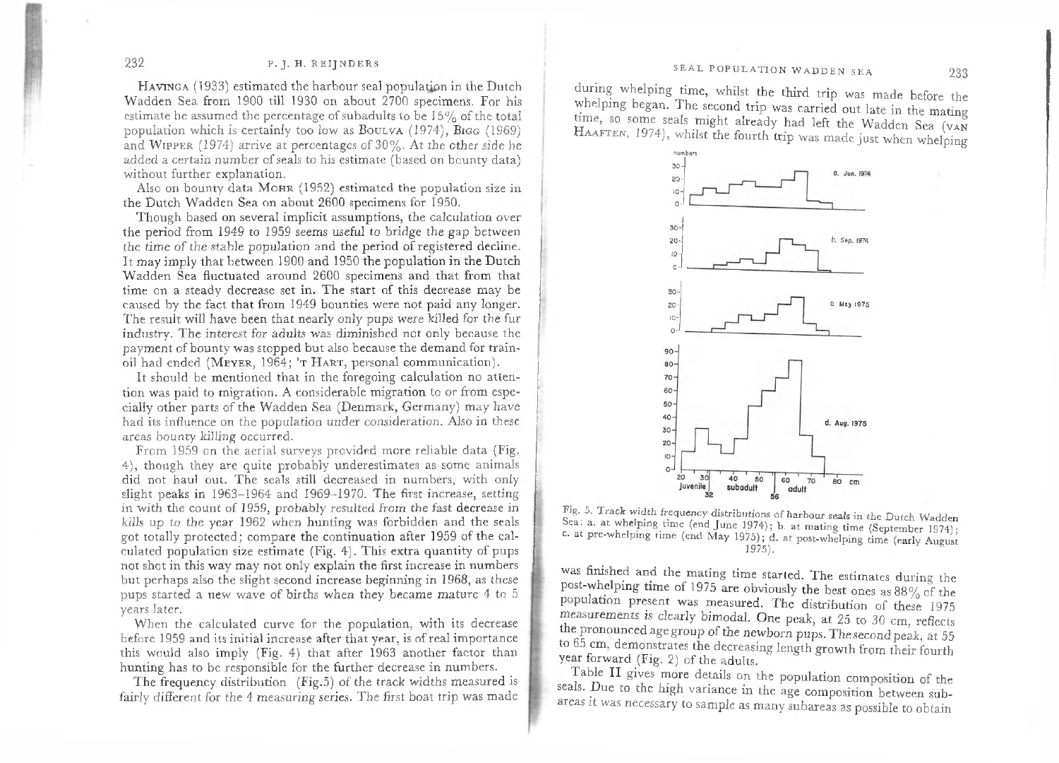# SEAL POPULATION WADDEN SEA 233

# 232 P. J. H. REI JNDERS

HAVINGA (1933) estimated the harbour seal population in the Dutch W adden Sea from 1900 till 1930 on about 2700 specimens. For his estimate he assumed the percentage of subadults to be 15% of the total population which is certainly too low as BOULVA  $(1974)$ , BIGG  $(1969)$ and WIPPER (1974) arrive at percentages of  $30\%$ . At the other side he added a certain number of seals to his estimate (based on bounty data) without further explanation.

Also on bounty data MOHR  $(1952)$  estimated the population size in the Dutch Wadden Sea on about 2600 specimens for 1950.

Though based on several implicit assumptions, the calculation over the period from 1949 to 1959 seems useful to bridge the gap between the time of the stable population and the period of registered decline. It may imply that between 1900 and 1950 the population in the Dutch Wadden Sea fluctuated around 2600 specimens and that from that time on a steady decrease set in. The start of this decrease may be caused by the fact that from 1949 bounties were not paid any longer. The result will have been that nearly only pups were killed for the fur industry. The interest for adults was diminished not only because the payment of bounty was stopped but also because the demand for trainoil had ended (MEYER, 1964; 'T HART, personal communication).

It should be mentioned that in the foregoing calculation no attention was paid to migration. A considerable migration to or from especially other parts of the Wadden Sea (Denmark, Germany) may have had its influence on the population under consideration. Also in these areas bounty killing occurred.

From 1959 on the aerial surveys provided more reliable data (Fig. 4), though they are quite probably underestimates as some animals did not haul out. The seals still decreased in numbers, with only slight peaks in 1963–1964 and 1969–1970. The first increase, setting in with the count of 1959, probably resulted from the fast decrease in kills up to the year 1962 when hunting was forbidden and the seals got totally protected; com pare the continuation after 1959 of the calculated population size estimate (Fig. 4). This extra quantity of pups not shot in this way may not only explain the first increase in numbers but perhaps also the slight second increase beginning in 1968, as these pups started a new wave of births when they became mature 4 to 5 years later.

When the calculated curve for the population, with its decrease before 1959 and its initial increase after that year, is of real importance this would also imply (Fig. 4) that after 1963 another factor than hunting has to be responsible for the further decrease in numbers.

The frequency distribution  $(Fig.5)$  of the track widths measured is fairly different for the 4 measuring series. The first boat trip was made

during whelping time, whilst the third trip was made before the whelping began. The second trip was carried out late in the mating time, so some seals might already had left the Wadden Sea (VAN HAAFTEN, 1974), whilst the fourth trip was made just when whelping



Fig. 5. Track width frequency distributions of harbour seals in the Dutch Wadden Sea: a. at whelping time (end June 1974); b. at mating time (September 1974); c. at pre-whelping time (end May 1975); d. at post-whelping time (early August 1975).

was finished and the mating time started. The estimates during the post-whelping time of 1975 are obviously the best ones as  $88\%$  of the population present was measured. The distribution of these 1975 measurements is clearly bimodal. One peak, at 25 to 30 cm, reflects the pronounced age group of the newborn pups. The second peak, at 55 to 65 cm, demonstrates the decreasing length growth from their fourth year forward (Fig. 2) of the adults.

Table II gives more details on the population composition of the seals. Due to the high variance in the age composition between subareas it was necessary to sample as many subareas as possible to obtain